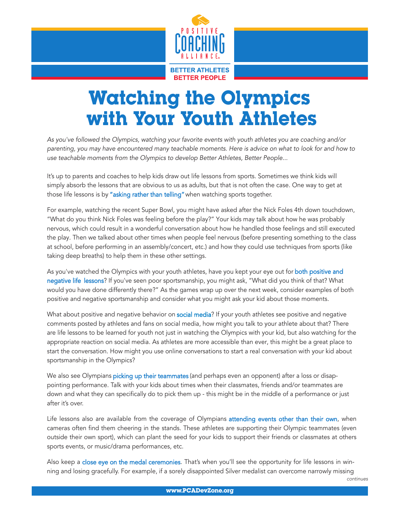

## Watching the Olympics with Your Youth Athletes

As you've followed the Olympics, watching your favorite events with youth athletes you are coaching and/or parenting, you may have encountered many teachable moments. Here is advice on what to look for and how to use teachable moments from the Olympics to develop Better Athletes, Better People...

It's up to parents and coaches to help kids draw out life lessons from sports. Sometimes we think kids will simply absorb the lessons that are obvious to us as adults, but that is not often the case. One way to get at those life lessons is by "asking rather than telling" when watching sports together.

For example, watching the recent Super Bowl, you might have asked after the Nick Foles 4th down touchdown, "What do you think Nick Foles was feeling before the play?" Your kids may talk about how he was probably nervous, which could result in a wonderful conversation about how he handled those feelings and still executed the play. Then we talked about other times when people feel nervous (before presenting something to the class at school, before performing in an assembly/concert, etc.) and how they could use techniques from sports (like taking deep breaths) to help them in these other settings.

As you've watched the Olympics with your youth athletes, have you kept your eye out for both positive and negative life lessons? If you've seen poor sportsmanship, you might ask, "What did you think of that? What would you have done differently there?" As the games wrap up over the next week, consider examples of both positive and negative sportsmanship and consider what you might ask your kid about those moments.

What about positive and negative behavior on social media? If your youth athletes see positive and negative comments posted by athletes and fans on social media, how might you talk to your athlete about that? There are life lessons to be learned for youth not just in watching the Olympics with your kid, but also watching for the appropriate reaction on social media. As athletes are more accessible than ever, this might be a great place to start the conversation. How might you use online conversations to start a real conversation with your kid about sportsmanship in the Olympics?

We also see Olympians picking up their teammates (and perhaps even an opponent) after a loss or disappointing performance. Talk with your kids about times when their classmates, friends and/or teammates are down and what they can specifically do to pick them up - this might be in the middle of a performance or just after it's over.

Life lessons also are available from the coverage of Olympians attending events other than their own, when cameras often find them cheering in the stands. These athletes are supporting their Olympic teammates (even outside their own sport), which can plant the seed for your kids to support their friends or classmates at others sports events, or music/drama performances, etc.

Also keep a close eye on the medal ceremonies. That's when you'll see the opportunity for life lessons in winning and losing gracefully. For example, if a sorely disappointed Silver medalist can overcome narrowly missing